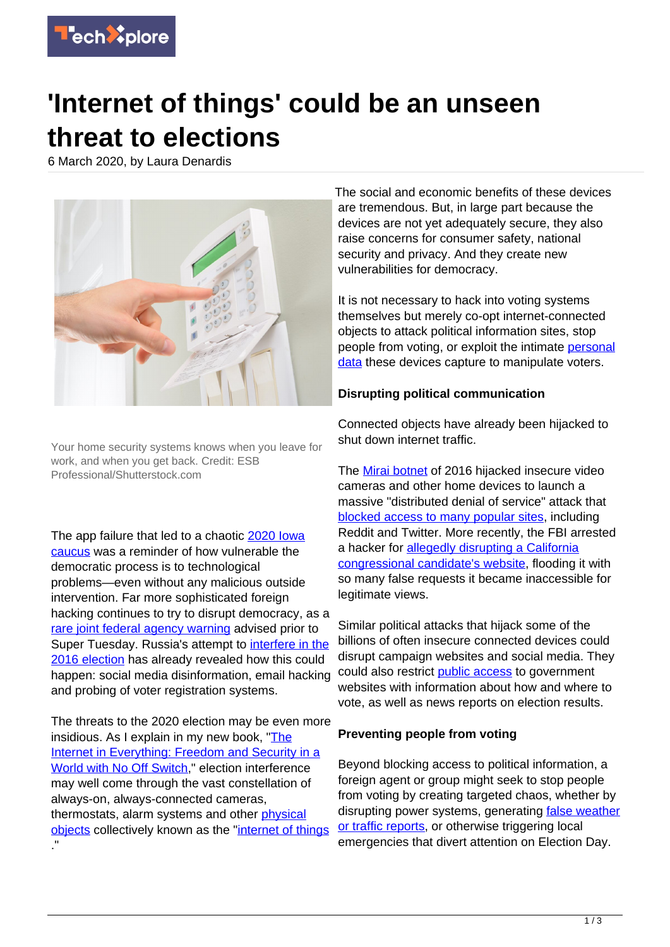

# **'Internet of things' could be an unseen threat to elections**

6 March 2020, by Laura Denardis



Your home security systems knows when you leave for work, and when you get back. Credit: ESB Professional/Shutterstock.com

The app failure that led to a chaotic [2020 Iowa](https://www.cnbc.com/2020/02/04/iowa-caucus-app-debacle-is-one-of-the-most-stunning-it-failures-ever.html) [caucus](https://www.cnbc.com/2020/02/04/iowa-caucus-app-debacle-is-one-of-the-most-stunning-it-failures-ever.html) was a reminder of how vulnerable the democratic process is to technological problems—even without any malicious outside intervention. Far more sophisticated foreign hacking continues to try to disrupt democracy, as a [rare joint federal agency warning](https://www.fbi.gov/news/pressrel/press-releases/joint-statement-from-dos-doj-dod-dhs-odni-fbi-nsa-and-cisa-on-preparations-for-super-tuesday) advised prior to Super Tuesday. Russia's attempt to [interfere in the](https://www.intelligence.senate.gov/sites/default/files/documents/Report_Volume1.pdf) [2016 election](https://www.intelligence.senate.gov/sites/default/files/documents/Report_Volume1.pdf) has already revealed how this could happen: social media disinformation, email hacking and probing of voter registration systems.

The threats to the 2020 election may be even more insidious. As I explain in my new book, "[The](https://yalebooks.yale.edu/book/9780300233070/internet-everything) [Internet in Everything: Freedom and Security in a](https://yalebooks.yale.edu/book/9780300233070/internet-everything) [World with No Off Switch,](https://yalebooks.yale.edu/book/9780300233070/internet-everything)" election interference may well come through the vast constellation of always-on, always-connected cameras, thermostats, alarm systems and other **physical** [objects](https://techxplore.com/tags/physical+objects/) collectively known as the ["internet of things](https://techxplore.com/tags/internet+of+things/) ."

The social and economic benefits of these devices are tremendous. But, in large part because the devices are not yet adequately secure, they also raise concerns for consumer safety, national security and privacy. And they create new vulnerabilities for democracy.

It is not necessary to hack into voting systems themselves but merely co-opt internet-connected objects to attack political information sites, stop people from voting, or exploit the intimate [personal](https://techxplore.com/tags/personal+data/) [data](https://techxplore.com/tags/personal+data/) these devices capture to manipulate voters.

#### **Disrupting political communication**

Connected objects have already been hijacked to shut down internet traffic.

The [Mirai botnet](https://www.wired.com/story/mirai-botnet-minecraft-scam-brought-down-the-internet/) of 2016 hijacked insecure video cameras and other home devices to launch a massive "distributed denial of service" attack that [blocked access to many popular sites](https://www.theatlantic.com/technology/archive/2016/10/how-a-bunch-of-hacked-dvr-machines-took-down-twitter-and-reddit/505073/), including Reddit and Twitter. More recently, the FBI arrested a hacker for [allegedly disrupting a California](https://thehill.com/homenews/house/484122-fbi-arrests-hacker-linked-to-former-rep-katie-hills-2018-campaign) [congressional candidate's website](https://thehill.com/homenews/house/484122-fbi-arrests-hacker-linked-to-former-rep-katie-hills-2018-campaign), flooding it with so many false requests it became inaccessible for legitimate views.

Similar political attacks that hijack some of the billions of often insecure connected devices could disrupt campaign websites and social media. They could also restrict [public access](https://techxplore.com/tags/public+access/) to government websites with information about how and where to vote, as well as news reports on election results.

## **Preventing people from voting**

Beyond blocking access to political information, a foreign agent or group might seek to stop people from voting by creating targeted chaos, whether by disrupting power systems, generating [false weather](https://www.wired.com/story/99-phones-fake-google-maps-traffic-jam/) [or traffic reports](https://www.wired.com/story/99-phones-fake-google-maps-traffic-jam/), or otherwise triggering local emergencies that divert attention on Election Day.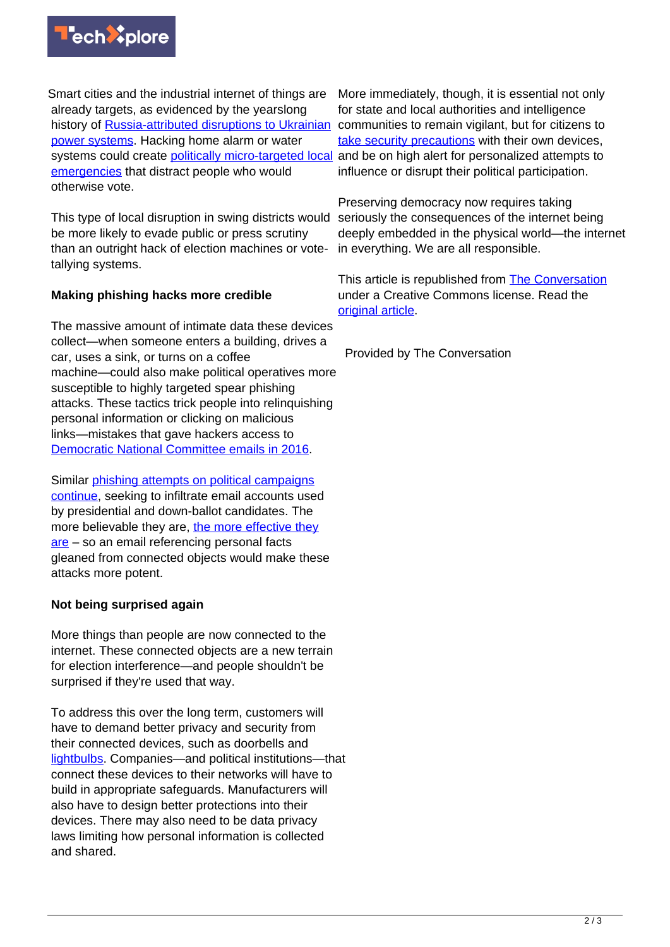

Smart cities and the industrial internet of things are already targets, as evidenced by the yearslong history of **Russia-attributed disruptions to Ukrainian** communities to remain vigilant, but for citizens to power systems</u>. Hacking home alarm or water systems could create *[politically micro-targeted local](https://www.king5.com/article/news/local/no-emergency-false-alert-over-radiological-incident-sent-by-jefferson-county/281-568c86b3-8aae-4df0-b3b3-5dd4c800e0e8)* and be on high alert for personalized attempts to [emergencies](https://www.king5.com/article/news/local/no-emergency-false-alert-over-radiological-incident-sent-by-jefferson-county/281-568c86b3-8aae-4df0-b3b3-5dd4c800e0e8) that distract people who would otherwise vote.

This type of local disruption in swing districts would be more likely to evade public or press scrutiny than an outright hack of election machines or votetallying systems.

## **Making phishing hacks more credible**

The massive amount of intimate data these devices collect—when someone enters a building, drives a car, uses a sink, or turns on a coffee machine—could also make political operatives more susceptible to highly targeted spear phishing attacks. These tactics trick people into relinquishing personal information or clicking on malicious links—mistakes that gave hackers access to [Democratic National Committee emails in 2016.](https://techcrunch.com/2019/04/18/mueller-clinton-arizona-hack/)

Similar [phishing attempts on political campaigns](https://www.cnn.com/2020/01/22/politics/democratic-campaigns-targeted-scams/index.html) [continue,](https://www.cnn.com/2020/01/22/politics/democratic-campaigns-targeted-scams/index.html) seeking to infiltrate email accounts used by presidential and down-ballot candidates. The more believable they are, [the more effective they](https://www.rand.org/blog/2015/10/social-engineering-explained-the-human-element-in-cyberattacks.html) [are](https://www.rand.org/blog/2015/10/social-engineering-explained-the-human-element-in-cyberattacks.html) – so an email referencing personal facts gleaned from connected objects would make these attacks more potent.

#### **Not being surprised again**

More things than people are now connected to the internet. These connected objects are a new terrain for election interference—and people shouldn't be surprised if they're used that way.

To address this over the long term, customers will have to demand better privacy and security from their connected devices, such as doorbells and [lightbulbs.](https://www.usatoday.com/story/tech/2020/02/05/how-to-avoid-smart-lights-getting-hacked/4660430002/) Companies—and political institutions—that connect these devices to their networks will have to build in appropriate safeguards. Manufacturers will also have to design better protections into their devices. There may also need to be data privacy laws limiting how personal information is collected and shared.

More immediately, though, it is essential not only for state and local authorities and intelligence [take security precautions](https://www.us-cert.gov/ncas/current-activity/2019/12/31/secure-new-internet-connected-devices) with their own devices, influence or disrupt their political participation.

Preserving democracy now requires taking seriously the consequences of the internet being deeply embedded in the physical world—the internet in everything. We are all responsible.

This article is republished from [The Conversation](http://theconversation.com) under a Creative Commons license. Read the [original article](http://theconversation.com/internet-of-things-could-be-an-unseen-threat-to-elections-132142).

Provided by The Conversation